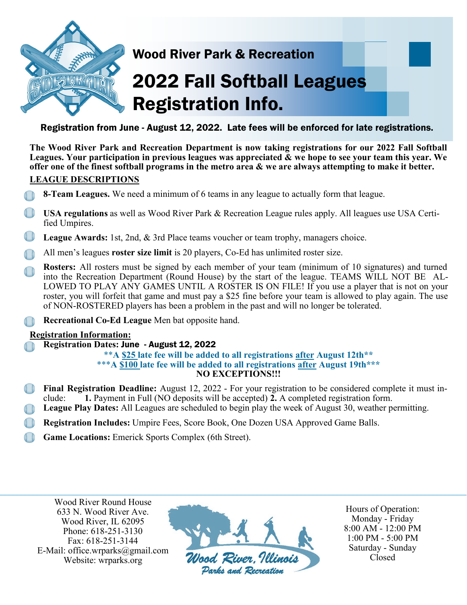

### Wood River Park & Recreation

# **2022 Fall Softball Leagues** Registration Info.

### Registration from June - August 12, 2022. Late fees will be enforced for late registrations.

**The Wood River Park and Recreation Department is now taking registrations for our 2022 Fall Softball Leagues. Your participation in previous leagues was appreciated & we hope to see your team this year. We offer one of the finest softball programs in the metro area & we are always attempting to make it better.** 

### **LEAGUE DESCRIPTIONS**

- **8-Team Leagues.** We need a minimum of 6 teams in any league to actually form that league.
- **USA regulations** as well as Wood River Park & Recreation League rules apply. All leagues use USA Certified Umpires.
- **League Awards:** 1st, 2nd, & 3rd Place teams voucher or team trophy, managers choice.
- All men's leagues **roster size limit** is 20 players, Co-Ed has unlimited roster size.
- **Rosters:** All rosters must be signed by each member of your team (minimum of 10 signatures) and turned into the Recreation Department (Round House) by the start of the league. TEAMS WILL NOT BE AL-LOWED TO PLAY ANY GAMES UNTIL A ROSTER IS ON FILE! If you use a player that is not on your roster, you will forfeit that game and must pay a \$25 fine before your team is allowed to play again. The use of NON-ROSTERED players has been a problem in the past and will no longer be tolerated.
- **Recreational Co-Ed League** Men bat opposite hand.

### **Registration Information:**

• **Registration Dates:** June - August 12, 2022

#### \*\***A \$25 late fee will be added to all registrations after August 12th\*\*** \*\*\***A \$100 late fee will be added to all registrations after August 19th\*\*\* NO EXCEPTIONS!!!**

- **Final Registration Deadline:** August 12, 2022 For your registration to be considered complete it must include: **1.** Payment in Full (NO deposits will be accepted) **2.** A completed registration form.
- **League Play Dates:** All Leagues are scheduled to begin play the week of August 30, weather permitting.
- **Registration Includes:** Umpire Fees, Score Book, One Dozen USA Approved Game Balls.
- Game Locations: Emerick Sports Complex (6th Street).

Wood River Round House 633 N. Wood River Ave. Wood River, IL 62095 Phone: 618-251-3130 Fax: 618-251-3144 E-Mail: office.wrparks@gmail.com Website: wrparks.org



Hours of Operation: Monday - Friday 8:00 AM - 12:00 PM 1:00 PM - 5:00 PM Saturday - Sunday Closed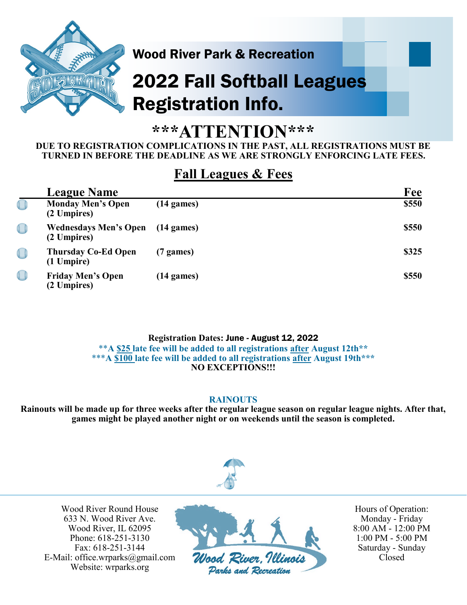

### Wood River Park & Recreation

# 2022 Fall Softball Leagues Registration Info.

## **\*\*\*ATTENTION\*\*\***

### **DUE TO REGISTRATION COMPLICATIONS IN THE PAST, ALL REGISTRATIONS MUST BE TURNED IN BEFORE THE DEADLINE AS WE ARE STRONGLY ENFORCING LATE FEES.**

### **Fall Leagues & Fees**

| <b>League Name</b>                          |                      | Fee   |
|---------------------------------------------|----------------------|-------|
| <b>Monday Men's Open</b><br>(2 Umpires)     | $(14 \text{ games})$ | \$550 |
| <b>Wednesdays Men's Open</b><br>(2 Umpires) | $(14 \text{ games})$ | \$550 |
| <b>Thursday Co-Ed Open</b><br>(1 Umpire)    | $(7 \text{ games})$  | \$325 |
| <b>Friday Men's Open</b><br>(2 Umpires)     | $(14 \text{ games})$ | \$550 |

**Registration Dates:** June - August 12, 2022

\*\***A \$25 late fee will be added to all registrations after August 12th\*\*** \*\*\***A \$100 late fee will be added to all registrations after August 19th\*\*\* NO EXCEPTIONS!!!**

### **RAINOUTS**

**Rainouts will be made up for three weeks after the regular league season on regular league nights. After that, games might be played another night or on weekends until the season is completed.** 

![](_page_1_Picture_11.jpeg)

Wood River Round House 633 N. Wood River Ave. Wood River, IL 62095 Phone: 618-251-3130 Fax: 618-251-3144 E-Mail: office.wrparks@gmail.com Website: wrparks.org

![](_page_1_Picture_13.jpeg)

Hours of Operation: Monday - Friday 8:00 AM - 12:00 PM 1:00 PM - 5:00 PM Saturday - Sunday Closed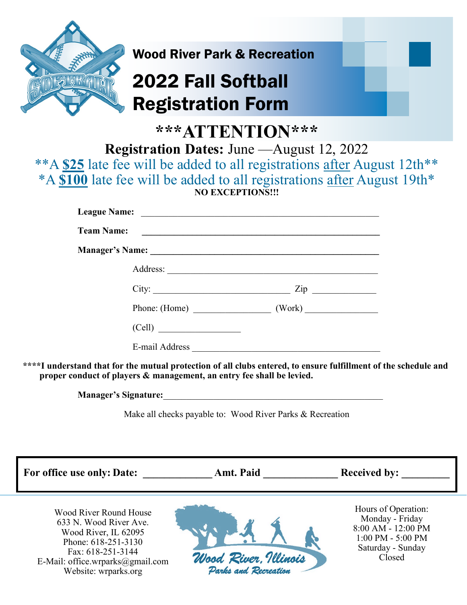![](_page_2_Picture_0.jpeg)

## Wood River Park & Recreation

## 2022 Fall Softball Registration Form

**\*\*\*ATTENTION\*\*\*** 

**Registration Dates:** June —August 12, 2022

\*\*A **\$25** late fee will be added to all registrations after August 12th\*\* \*A **\$100** late fee will be added to all registrations after August 19th\* **NO EXCEPTIONS!!!**

| <b>League Name:</b> |                      |                |  |
|---------------------|----------------------|----------------|--|
| <b>Team Name:</b>   |                      |                |  |
|                     |                      |                |  |
|                     |                      |                |  |
|                     | City:                | $\mathsf{Zip}$ |  |
|                     |                      |                |  |
|                     |                      |                |  |
|                     | E-mail Address _____ |                |  |

**\*\*\*\*I understand that for the mutual protection of all clubs entered, to ensure fulfillment of the schedule and proper conduct of players & management, an entry fee shall be levied.**

**Manager's Signature:**\_\_\_\_\_\_\_\_\_\_\_\_\_\_\_\_\_\_\_\_\_\_\_\_\_\_\_\_\_\_\_\_\_\_\_\_\_\_\_\_\_\_\_\_\_\_\_\_

Make all checks payable to: Wood River Parks & Recreation

For office use only: Date: **Amt. Paid Received by:** Hours of Operation: Wood River Round House Monday - Friday 633 N. Wood River Ave. 8:00 AM - 12:00 PM Wood River, IL 62095 1:00 PM - 5:00 PM Phone: 618-251-3130 Saturday - Sunday Fax: 618-251-3144 Wood River, Illinois Closed E-Mail: office.wrparks@gmail.com Parks and Recreation Website: wrparks.org